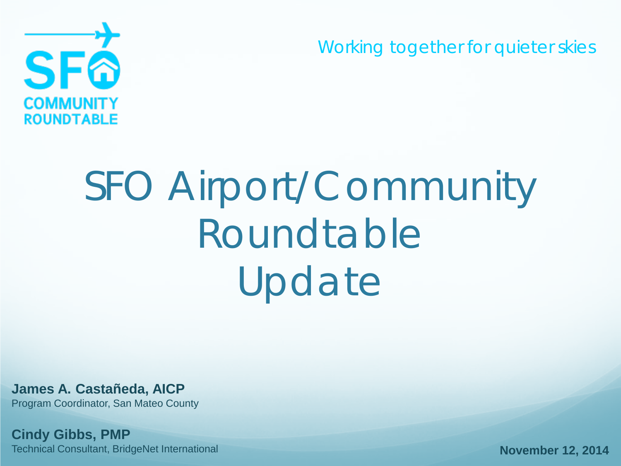Working together for quieter skies



# SFO Airport/Community Roundtable Update

**James A. Castañeda, AICP** Program Coordinator, San Mateo County

**Cindy Gibbs, PMP** Technical Consultant, BridgeNet International

**November 12, 2014**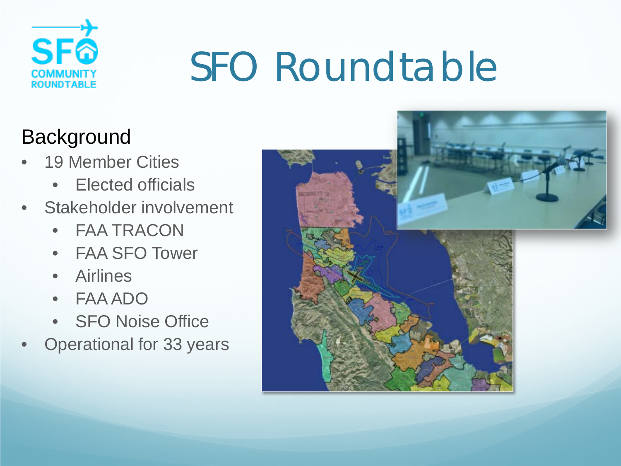

# SFO Roundtable

### **Background**

- 19 Member Cities
	- Elected officials
- Stakeholder involvement
	- FAA TRACON
	- FAA SFO Tower
	- Airlines
	- FAA ADO
	- SFO Noise Office
- Operational for 33 years

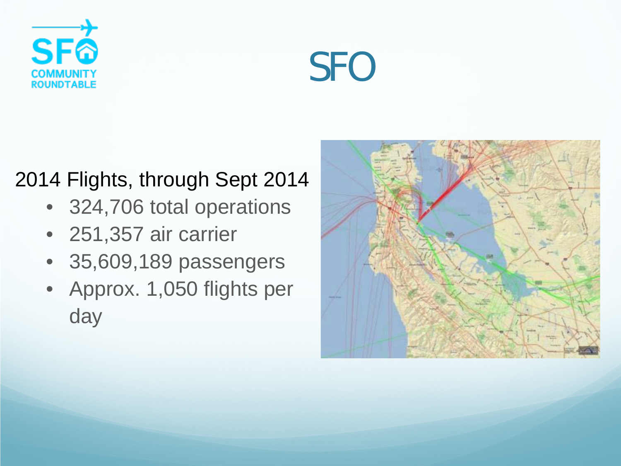



#### 2014 Flights, through Sept 2014

- 324,706 total operations
- 251,357 air carrier
- 35,609,189 passengers
- Approx. 1,050 flights per day

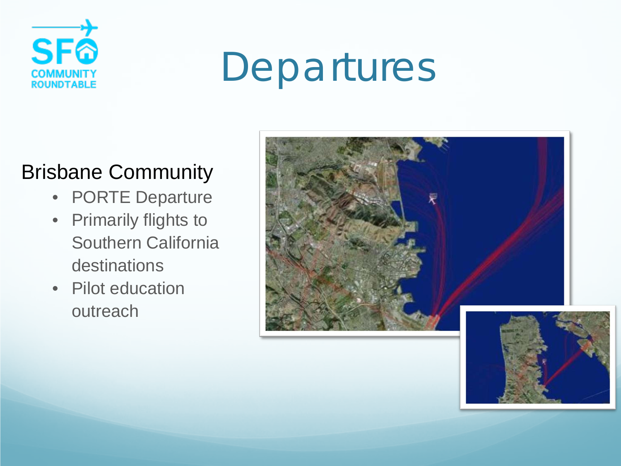

### Departures

#### Brisbane Community

- PORTE Departure
- Primarily flights to Southern California destinations
- Pilot education outreach



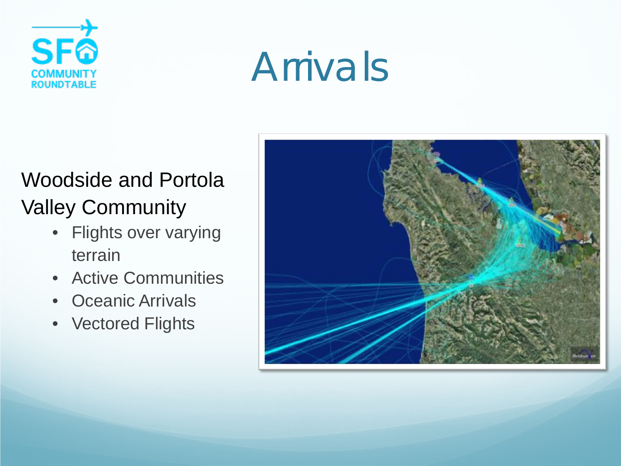

### Arrivals

### Woodside and Portola Valley Community

- Flights over varying terrain
- Active Communities
- Oceanic Arrivals
- Vectored Flights

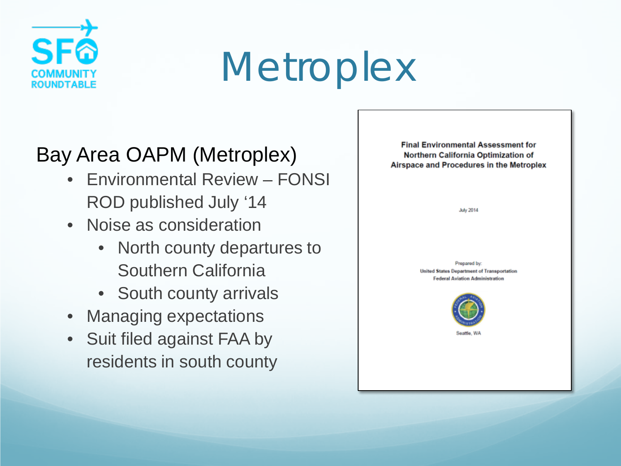

### **Metroplex**

### Bay Area OAPM (Metroplex)

- Environmental Review FONSI ROD published July '14
- Noise as consideration
	- North county departures to Southern California
	- South county arrivals
- Managing expectations
- Suit filed against FAA by residents in south county

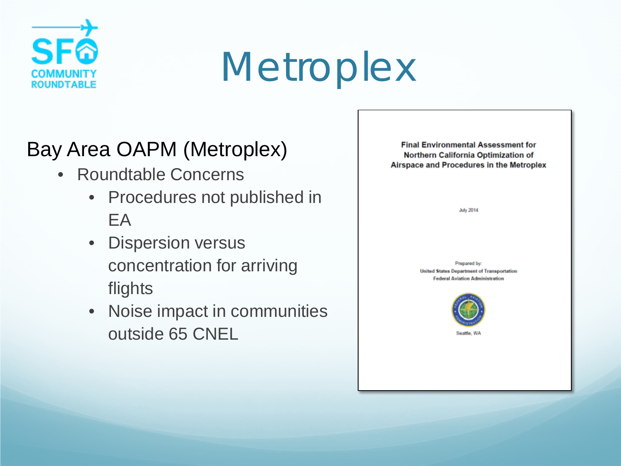

### **Metroplex**

#### Bay Area OAPM (Metroplex)

- Roundtable Concerns
	- Procedures not published in EA
	- Dispersion versus concentration for arriving flights
	- Noise impact in communities outside 65 CNEL

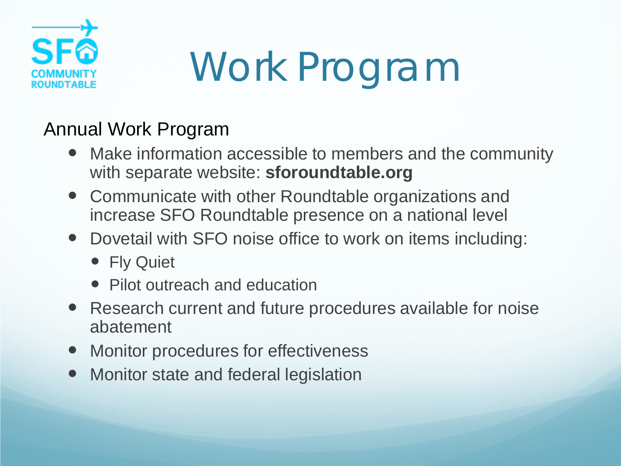

# Work Program

#### Annual Work Program

- Make information accessible to members and the community with separate website: **sforoundtable.org**
- Communicate with other Roundtable organizations and increase SFO Roundtable presence on a national level
- Dovetail with SFO noise office to work on items including:
	- Fly Quiet
	- Pilot outreach and education
- Research current and future procedures available for noise abatement
- Monitor procedures for effectiveness
- Monitor state and federal legislation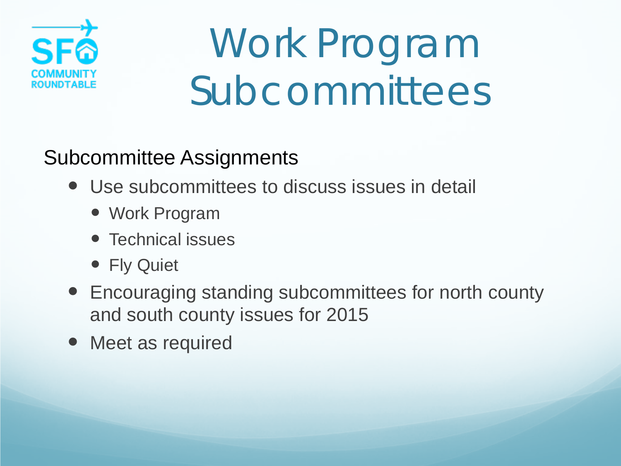

# Work Program Subcommittees

### Subcommittee Assignments

- Use subcommittees to discuss issues in detail
	- Work Program
	- Technical issues
	- Fly Quiet
- Encouraging standing subcommittees for north county and south county issues for 2015
- Meet as required